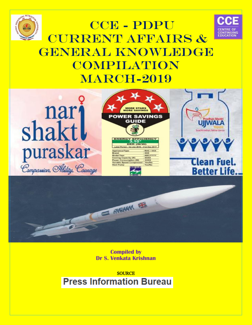



# CCE - PDPU CURRENT AFFAIRS & GENERAL KNOWLEDGE **COMPILATION MARCH-2019**

CCE-Pandit Deendayal Petroleum University 079-23275276



**Compiled by Dr S. Venkata Krishnan**

Mail: cce@pdpu.ac.in Compiled by Dr Venkata Krishnan Page 1

**SOURCE Press Information Bureau**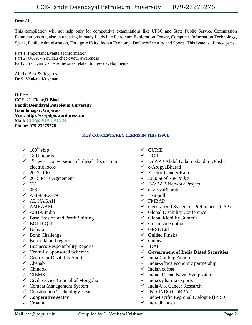Dear All,

This compilation will not help only for competitive examinations like UPSC and State Public Service Commission Examinations but, also in updating in many fields like Petroleum Exploration, Power, Computer, Information Technology, Space, Public Administration, Foreign Affairs, Indian Economy, Defence/Security and Sports. This issue is of three parts:

Part 1: Important Events as information Part 2: Q& A - You can check your awareness Part 3: You can visit - Some sites related to new developments

All the Best & Regards, Dr S. Venkata Krishnan

**Office: CCE, 2nd Floor,D-Block Pandit Deendayal Petroleum University Gandhinagar, Gujarat-Visit: https://ccepdpu.wordpress.com Mail: [CCE@PDPU.AC.IN](mailto:CCE@PDPU.AC.IN) Phone: 079-23275276**

# **KEY CONCEPTS/KEY TERMS IN THIS ISSUE**

- $\sqrt{ }$  100<sup>th</sup> ship
- $\checkmark$  18 Unicorns
- $\checkmark$  1<sup>st</sup> ever conversion of diesel locos into electric locos
- $\sqrt{2012}$ =100
- $\checkmark$  2015 Paris Agreement
- $\checkmark$  631
- $\sqrt{958}$
- $\checkmark$  AFINDEX-19
- $\times$  AL NAGAH
- $\times$  AMRAAM
- ASHA-India
- $\checkmark$  Base Erosion and Profit Shifting
- BOLD-QIT
- $\checkmark$  Bolivia
- $\checkmark$  Bonn Challenge
- $\checkmark$  Bundelkhand region
- $\checkmark$  Business Responsibility Reports
- $\checkmark$  Centrally Sponsored Schemes
- $\checkmark$  Centre for Disability Sports
- $\checkmark$  Chenab
- $\checkmark$  Chinook
- $\checkmark$  CIBMS
- $\checkmark$  Civil Service Council of Mongolia
- $\checkmark$  Combat Management System
- $\checkmark$  Construction Technology Year
- C**ooperative sector**
- $\checkmark$  Croatia
- $\checkmark$  CURIE
- $\checkmark$  DCIL
- Dr AP J Abdul Kalam Island in Odisha
- e-ArogyaBharati
- $\checkmark$  Elector-Gender Ratio
- *Engine of New India*
- E-VBAB Network Project
- e-VidyaBharati
- $\checkmark$  Exit poll
- $\checkmark$  FMBAP
- $\checkmark$  Generalized System of Preferences (GSP)
- $\checkmark$  Global Disability Conference
- $\checkmark$  Global Mobility Summit
- $\checkmark$  Green-shoe option
- GRSE Ltd
- $\checkmark$  Guided Pinaka
- $\checkmark$  Guinea
- $\times$  IDAI
- **Government of India Dated Securities**
- $\checkmark$  India Cooling Action
- $\checkmark$  India-Africa economic partnership
- $\checkmark$  Indian coffee
- $\checkmark$  Indian Ocean Naval Symposium
- $\checkmark$  India's pharma exports
- $\checkmark$  India-UK Cancer Research
- $\checkmark$  IND-INDO CORPAT
- $\checkmark$  Indo-Pacific Regional Dialogue (IPRD)
- $\checkmark$  Indradhanush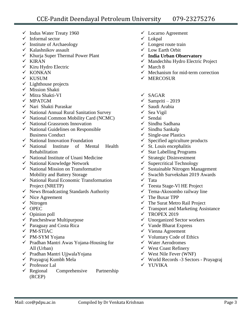- $\checkmark$  Indus Water Treaty 1960
- $\checkmark$  Informal sector
- $\checkmark$  Institute of Archaeology
- $\checkmark$  Kalashnikov assault
- $\checkmark$  Khurja Super Thermal Power Plant
- $\times$  KIRAN
- $\checkmark$  Kiru Hydro Electric
- $\times$  KONKAN
- $\times$  KUSUM
- $\checkmark$  Lighthouse projects
- $\checkmark$  Mission Shakti
- $\checkmark$  Mitra Shakti-VI
- $\checkmark$  MPATGM
- $\checkmark$  Nari Shakti Puraskar
- $\checkmark$  National Annual Rural Sanitation Survey
- $\checkmark$  National Common Mobility Card (NCMC)
- $\checkmark$  National Grassroots Innovation
- $\checkmark$  National Guidelines on Responsible Business Conduct
- $\checkmark$  National Innovation Foundation
- $\checkmark$  National Institute of Mental Health Rehabilitation
- $\checkmark$  National Institute of Unani Medicine
- $\checkmark$  National Knowledge Network
- $\checkmark$  National Mission on Transformative Mobility and Battery Storage
- $\checkmark$  National Rural Economic Transformation Project (NRETP)
- $\checkmark$  News Broadcasting Standards Authority
- $\checkmark$  Nice Agreement
- $\checkmark$  Nitrogen
- $\checkmark$  OPEC
- $\checkmark$  Opinion poll
- $\checkmark$  Pancheshwar Multipurpose
- $\checkmark$  Paraguay and Costa Rica
- $\checkmark$  PM-STIAC
- $\checkmark$  PM-SYM Yojana
- $\checkmark$  Pradhan Mantri Awas Yojana-Housing for All (Urban)
- Pradhan Mantri UjjwalaYojana
- $\checkmark$  Prayagraj Kumbh Mela
- $\checkmark$  Professor Lal
- $\checkmark$  Regional Comprehensive Partnership (RCEP)
- Locarno Agreement
- $\checkmark$  Lokpal
- $\checkmark$  Longest route train
- Low Earth Orbit
- **India Urban Observatory**
- $\checkmark$  Mandechhu Hydro Electric Project
- $\checkmark$  March 8
- $\checkmark$  Mechanism for mid-term correction
- $\checkmark$  MERCOSUR
- $\checkmark$  SAGAR
- $\checkmark$  Sampriti 2019
- Saudi Arabia
- $\checkmark$  Sea Vigil
- $\checkmark$  Sendai
- $\checkmark$  Sindhu Sadhana
- $\checkmark$  Sindhu Sankalp
- $\checkmark$  Single-use Plastics
- $\checkmark$  Specified agriculture products
- $\checkmark$  St. Louis encephalitis
- $\checkmark$  Star Labelling Programs
- $\checkmark$  Strategic Disinvestment
- $\checkmark$  Supercritical Technology
- $\checkmark$  Sustainable Nitrogen Management
- $\checkmark$  Swachh Survekshan 2019 Awards
- $\checkmark$  Tata
- $\checkmark$  Teesta Stage-Vl HE Project
- $\checkmark$  Tema-Akosombo railway line
- $\checkmark$  The Buxar TPP
- $\checkmark$  The Surat Metro Rail Project
- $\checkmark$  Transport and Marketing Assistance
- $\checkmark$  TROPEX 2019
- $\checkmark$  Unorganized Sector workers
- $\checkmark$  Vande Bharat Express
- $\checkmark$  Vienna Agreement
- $\checkmark$  Voluntary Code of Ethics
- $\checkmark$  Water Aerodromes
- West Coast Refinery
- $\checkmark$  West Nile Fever (WNF)
- World Records -3 Sectors Prayagraj
- $\checkmark$  YUVIKA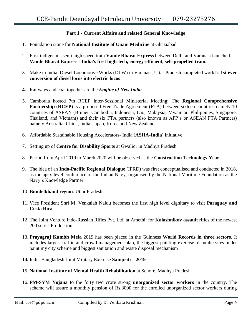# **Part 1 - Current Affairs and related General Knowledge**

- 1. Foundation stone for **National Institute of Unani Medicine** at Ghaziabad
- 2. First indigenous semi high speed train **Vande Bharat Express** between Delhi and Varanasi launched. **Vande Bharat Express - India's first high-tech, energy-efficient, self-propelled train.**
- 3. Make in India: Diesel Locomotive Works (DLW) in Varanasi, Uttar Pradesh completed world"s **1st ever conversion of diesel locos into electric locos**
- **4.** Railways and coal together are the *Engine of New India*
- 5. Cambodia hosted 7th RCEP Inter-Sessional Ministerial Meeting: The **Regional Comprehensive Partnership** (**RCEP**) is a proposed Free Trade Agreement (FTA) between sixteen countries namely 10 countries of ASEAN (Brunei, Cambodia, Indonesia, Lao, Malaysia, Myanmar, Philippines, Singapore, Thailand, and Vietnam) and their six FTA partners (also known as AFP"s or ASEAN FTA Partners) namely Australia, China, India, Japan, Korea and New Zealand.
- 6. Affordable Sustainable Housing Accelerators- India (**ASHA-India**) initiative.
- 7. Setting up of **Centre for Disability Sports** at Gwalior in Madhya Pradesh
- 8. Period from April 2019 to March 2020 will be observed as the **Construction Technology Year**
- 9. The idea of an **Indo-Pacific Regional Dialogue** (IPRD) was first conceptualised and conducted in 2018, as the apex level conference of the Indian Navy, organised by the National Maritime Foundation as the Navy"s Knowledge Partner.
- 10. **Bundelkhand region**: Uttar Pradesh
- 11. Vice President Shri M. Venkaiah Naidu becomes the first high level dignitary to visit **Paraguay and Costa Rica**
- 12. The Joint Venture Indo-Russian Rifles Pvt. Ltd. at Amethi: for **Kalashnikov assault** rifles of the newest 200 series Production
- 13. **Prayagraj Kumbh Mela** 2019 has been placed in the Guinness **World Records in three sectors**. It includes largest traffic and crowd management plan, the biggest painting exercise of public sites under paint my city scheme and biggest sanitation and waste disposal mechanism
- **14.** India-Bangladesh Joint Military Exercise **Sampriti – 2019**
- 15. **National Institute of Mental Health Rehabilitation** at Sehore, Madhya Pradesh
- 16. **PM-SYM Yojana** to the forty two crore strong **unorganized sector workers** in the country. The scheme will assure a monthly pension of Rs.3000 for the enrolled unorganized sector workers during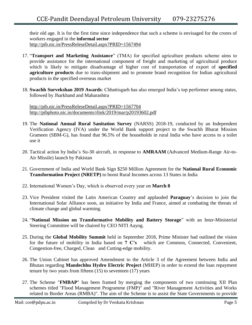their old age. It is for the first time since independence that such a scheme is envisaged for the crores of workers engaged in the **informal sector** <http://pib.nic.in/PressReleseDetail.aspx?PRID=1567494>

- 17. "**Transport and Marketing Assistance**" (TMA) for specified agriculture products scheme aims to provide assistance for the international component of freight and marketing of agricultural produce which is likely to mitigate disadvantage of higher cost of transportation of export of **specified agriculture products** due to trans-shipment and to promote brand recognition for Indian agricultural products in the specified overseas market
- 18. **Swachh Survekshan 2019 Awards**: Chhattisgarh has also emerged India"s top performer among states, followed by Jharkhand and Maharashtra

<http://pib.nic.in/PressReleseDetail.aspx?PRID=1567704> <http://pibphoto.nic.in/documents/rlink/2019/mar/p20193602.pdf>

- 19. The **National Annual Rural Sanitation Survey** (NARSS) 2018-19, conducted by an Independent Verification Agency (IVA) under the World Bank support project to the Swachh Bharat Mission Grameen (SBM-G), has found that 96.5% of the households in rural India who have access to a toilet use it
- 20. Tactical action by India"s Su-30 aircraft, in response to **AMRAAM** (Advanced Medium-Range Air-to-Air Missile) launch by Pakistan
- 21. Government of India and World Bank Sign \$250 Million Agreement for the **National Rural Economic Transformation Project (NRETP)** to boost Rural Incomes across 13 States in India
- 22. International Women"s Day, which is observed every year on **March 8**
- 23. Vice President visited the Latin American Country and applauded **Paraguay**"s decision to join the International Solar Alliance soon, an initiative by India and France, aimed at combating the threats of climate change and global warming.
- 24. "**National Mission on Transformative Mobility and Battery Storage**" with an Inter-Ministerial Steering Committee will be chaired by CEO NITI Aayog.
- 25. During the **Global Mobility Summit** held in September 2018, Prime Minister had outlined the vision for the future of mobility in India based on **7 C"s** which are Common, Connected, Convenient, Congestion-free, Charged, Clean and Cutting-edge mobility.
- 26. The Union Cabinet has approved Amendment to the Article 3 of the Agreement between India and Bhutan regarding **Mandechhu Hydro Electric Project** (MHEP) in order to extend the loan repayment tenure by two years from fifteen (15) to seventeen (17) years
- 27. The Scheme "**FMBAP**" has been framed by merging the components of two continuing XII Plan schemes titled "Flood Management Programme (FMP)" and "River Management Activities and Works related to Border Areas (RMBA)". The aim of the Scheme is to assist the State Governments to provide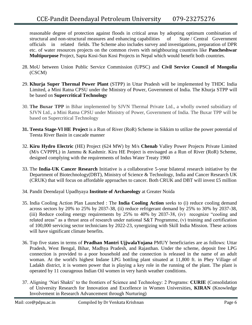reasonable degree of protection against floods in critical areas by adopting optimum combination of structural and non-structural measures and enhancing capabilities of State / Central Government officials in related fields. The Scheme also includes survey and investigations, preparation of DPR etc. of water resources projects on the common rivers with neighbouring countries like **Pancheshwar Multipurpose** Project, Sapta Kosi-Sun Kosi Projects in Nepal which would benefit both countries.

- 28. MoU between Union Public Service Commission (UPSC) and **Civil Service Council of Mongolia** (CSCM)
- 29. **Khurja Super Thermal Power Plant** (STPP) in Uttar Pradesh will be implemented by THDC India Limited, a Mini Ratna CPSU under the Ministry of Power, Government of India. The Khurja STPP will be based on **Supercritical Technology**
- 30. **The Buxar TPP** in Bihar implemented by SJVN Thermal Private Ltd., a wholly owned subsidiary of SJVN Ltd., a Mini Ratna CPSU under Ministry of Power, Government of India. The Buxar TPP will be based on Supercritical Technology
- **31. Teesta Stage-Vl HE Project** is a Run of River (RoR) Scheme in Sikkim to utilize the power potential of Teesta River Basin in cascade manner
- 32. **Kiru Hydro Electric** (HE) Project (624 MW) by M/s **Chenab** Valley Power Projects Private Limited (M/s CVPPPL) in Jammu & Kashmir. Kiru HE Project is envisaged as a Run of River (RoR) Scheme, designed complying with the requirements of Indus Water Treaty 1960
- 33. The **India-UK Cancer Research** Initiative is a collaborative 5-year bilateral research initiative by the Department of Biotechnology(DBT), Ministry of Science & Technology, India and Cancer Research UK (CRUK) that will focus on affordable approaches to cancer. Both CRUK and DBT will invest £5 million
- 34. Pandit Deendayal Upadhyaya **Institute of Archaeology** at Greater Noida
- 35. India Cooling Action Plan Launched : The **India Cooling Action** seeks to (i) reduce cooling demand across sectors by 20% to 25% by 2037-38, (ii) reduce refrigerant demand by 25% to 30% by 2037-38, (iii) Reduce cooling energy requirements by 25% to 40% by 2037-38, (iv) recognize "cooling and related areas" as a thrust area of research under national S&T Programme, (v) training and certification of 100,000 servicing sector technicians by 2022-23, synergizing with Skill India Mission. These actions will have significant climate benefits.
- 36. Top five states in terms of **Pradhan Mantri UjjwalaYojana** PMUY beneficiaries are as follows: Uttar Pradesh, West Bengal, Bihar, Madhya Pradesh, and Rajasthan. Under the scheme, deposit free LPG connection is provided to a poor household and the connection is released in the name of an adult woman. At the world's highest Indane LPG bottling plant situated at 11,800 ft. in Phey Village of Ladakh district, it is women power that is playing a key role in the running of the plant. The plant is operated by 11 courageous Indian Oil women in very harsh weather conditions.
- 37. Aligning "Nari Shakti" to the frontiers of Science and Technology: 2 Programs: **CURIE** (Consolidation of University Research for Innovation and Excellence in Women Universities, **KIRAN** (Knowledge Involvement in Research Advancement through Nurturing)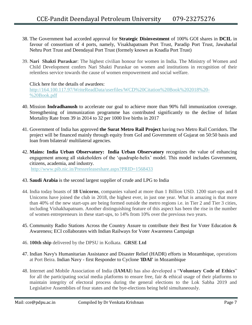- 38. The Government had accorded approval for **Strategic Disinvestment** of 100% GOI shares in **DCIL** in favour of consortium of 4 ports, namely, Visakhapatnam Port Trust, Paradip Port Trust, Jawaharlal Nehru Port Trust and Deendayal Port Trust (formely known as Knadla Port Trust)
- 39. **Nari Shakti Puraskar**: The highest civilian honour for women in India. The Ministry of Women and Child Development confers Nari Shakti Puraskar on women and institutions in recognition of their relentless service towards the cause of women empowerment and social welfare.

# Click here for the details of awardees:

[http://164.100.117.97/WriteReadData/userfiles/WCD%20Citation%20Book%202018%20-](http://164.100.117.97/WriteReadData/userfiles/WCD%20Citation%20Book%202018%20-%20Book.pdf) [%20Book.pdf](http://164.100.117.97/WriteReadData/userfiles/WCD%20Citation%20Book%202018%20-%20Book.pdf)

- 40. Mission **Indradhanush** to accelerate our goal to achieve more than 90% full immunization coverage. Strengthening of immunization programme has contributed significantly to the decline of Infant Mortality Rate from 39 in 2014 to 32 per 1000 live births in 2017
- 41. Government of India has approved **the Surat Metro Rail Project** having two Metro Rail Corridors. The project will be financed mainly through equity from GoI and Government of Gujarat on 50:50 basis and loan from bilateral/ multilateral agencies.
- 42. **Mains: India Urban Observatory: India Urban Observatory** recognizes the value of enhancing engagement among all stakeholders of the "quadruple-helix" model. This model includes Government, citizens, academia, and industry. <http://www.pib.nic.in/Pressreleaseshare.aspx?PRID=1568433>
- 43. **Saudi Arabia** is the second largest supplier of crude and LPG to India
- 44. India today boasts of **18 Unicorns**, companies valued at more than 1 Billion USD. 1200 start-ups and 8 Unicorns have joined the club in 2018, the highest ever, in just one year. What is amazing is that more than 40% of the new start-ups are being formed outside the metro regions i.e. in Tier 2 and Tier 3 cities, including Vishakhapatnam. Another distinguishing feature of this aspect has been the rise in the number of women entrepreneurs in these start-ups, to 14% from 10% over the previous two years.
- 45. Community Radio Stations Across the Country Assure to contribute their Best for Voter Education & Awareness; ECI collaborates with Indian Railways for Voter Awareness Campaign
- 46. **100th ship** delivered by the DPSU in Kolkata. **GRSE Ltd**
- 47. Indian Navy's Humanitarian Assistance and Disaster Relief (HADR) efforts in Mozambique, operations at Port Beira. Indian Navy - first Responder to Cyclone '**IDAI'** in Mozambique
- 48. Internet and Mobile Association of India (**IAMAI**) has also developed a "**Voluntary Code of Ethics**" for all the participating social media platforms to ensure free, fair & ethical usage of their platforms to maintain integrity of electoral process during the general elections to the Lok Sabha 2019 and Legislative Assemblies of four states and the bye-elections being held simultaneously.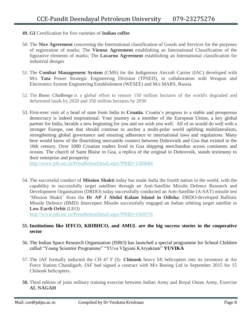- **49. GI** Certification for five varieties of **Indian coffee**
- 50. The **Nice Agreement** concerning the International classification of Goods and Services for the purposes of registration of marks; The **Vienna Agreement** establishing an International Classification of the figurative elements of marks; The **Locarno Agreement** establishing an International classification for industrial designs
- 51. The **Combat Management System** (CMS) for the Indigenous Aircraft Carrier (IAC) developed with M/s **Tata** Power Strategic Engineering Division (TPSED), in collaboration with Weapon and Electronics System Engineering Establishment (WESEE) and M/s MARS, Russia
- 52. The *Bonn Challenge* is a global effort to restore 150 million hectares of the world's degraded and deforested lands by 2020 and 350 million hectares by 2030
- 53. First-ever visit of a head of state from India to **Croatia**. Croatia"s progress to a stable and prosperous democracy is indeed inspirational. Your journey as a member of the European Union, a key global partner for India, heralds a new beginning for you and we wish you well. All of us would do well with a stronger Europe, one that should continue to anchor a multi-polar world uplifting multilateralism, strengthening global governance and ensuring adherence to international laws and regulations. Many here would know of the flourishing mercantile connect between Dubrovnik and Goa that existed in the 16th century. Over 1000 Croatian traders lived in Goa shipping merchandise across continents and oceans. The church of Saint Blaise in Goa, a replica of the original in Dubrovnik, stands testimony to their enterprise and prosperity

<http://www.pib.nic.in/PressReleseDetail.aspx?PRID=1569684>

54. The successful conduct of **Mission Shakti** today has made India the fourth nation in the world, with the capability to successfully target satellites through an Anti-Satellite Missile. Defence Research and Development Organisation (DRDO) today successfully conducted an Anti-Satellite (A-SAT) missile test "Mission Shakti" from the **Dr AP J Abdul Kalam Island in Odisha**. DRDO-developed Ballistic Missile Defence (BMD) Interceptor Missile successfully engaged an Indian orbiting target satellite in **Low Earth Orbit** (LEO)

<http://www.pib.nic.in/PressReleseDetail.aspx?PRID=1569576>

# **55. Institutions like IFFCO, KRIBHCO, and AMUL are the big success stories in the cooperative sector**

- 56. The Indian Space Research Organisation (ISRO) has launched a special programme for School Children called "Young Scientist Programme" "YUva VIgyani KAryakram" **YUVIKA**
- 57. The IAF formally inducted the CH 47 F (I)- **Chinook** heavy lift helicopters into its inventory at Air Force Station Chandigarh. IAF had signed a contract with M/s Boeing Ltd in September 2015 for 15 Chinook helicopters.
- **58.** Third edition of joint military training exercise between Indian Army and Royal Oman Army, Exercise **AL NAGAH**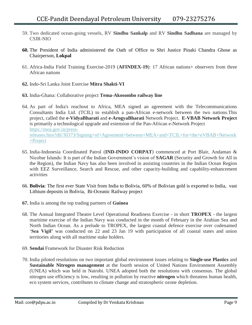- 59. Two dedicated ocean-going vessels, RV **Sindhu Sankalp** and RV **Sindhu Sadhana** are managed by CSIR-NIO
- **60.** The President of India administered the Oath of Office to Shri Justice Pinaki Chandra Ghose as Chairperson, **Lokpal**
- 61. Africa-India Field Training Exercise-2019 (**AFINDEX-19**): 17 African nations+ observers from three African nations
- **62.** Indo-Sri Lanka Joint Exercise **Mitra Shakti-VI**
- **63.** India-Ghana: Collaborative project **Tema-Akosombo railway line**
- 64. As part of India's reachout to Africa, MEA signed an agreement with the Telecommunications Consultants India Ltd. (TCIL) to establish a pan-African e-network between the two nations.This project, called the **e-VidyaBharati** and **e-ArogyaBharati** Network Project. **E-VBAB Network Project** is primarily a technological upgrade and extension of the Pan-African e-Network Project [https://mea.gov.in/press](https://mea.gov.in/press-releases.htm?dtl/30373/Signing+of+Agreement+between+MEA+and+TCIL+for+the+eVBAB+Network+Project)[releases.htm?dtl/30373/Signing+of+Agreement+between+MEA+and+TCIL+for+the+eVBAB+Network](https://mea.gov.in/press-releases.htm?dtl/30373/Signing+of+Agreement+between+MEA+and+TCIL+for+the+eVBAB+Network+Project) [+Project](https://mea.gov.in/press-releases.htm?dtl/30373/Signing+of+Agreement+between+MEA+and+TCIL+for+the+eVBAB+Network+Project)
- 65. India-Indonesia Coordinated Patrol (**IND-INDO CORPAT**) commenced at Port Blair, Andaman & Nicobar Islands: It is part of the Indian Government's vision of **SAGAR** (Security and Growth for All in the Region), the Indian Navy has also been involved in assisting countries in the Indian Ocean Region with EEZ Surveillance, Search and Rescue, and other capacity-building and capability-enhancement activities
- 66. **Bolivia**: The first ever State Visit from India to Bolivia, 60% of Bolivian gold is exported to India, vast Lithium deposits in Bolivia, Bi-Oceanic Railway project
- **67.** India is among the top trading partners of **Guinea**
- 68. The Annual Integrated Theatre Level Operational Readiness Exercise in short **TROPEX** the largest maritime exercise of the Indian Navy was conducted in the month of February in the Arabian Sea and North Indian Ocean. As a prelude to TROPEX, the largest coastal defence exercise over codenamed "**Sea Vigil"** was conducted on 22 and 23 Jan 19 with participation of all coastal states and union territories along with all maritime stake holders.
- 69. **Sendai** Framework for Disaster Risk Reduction
- 70. India piloted resolutions on two important global environment issues relating to **Single-use Plastics** and **Sustainable Nitrogen management** at the fourth session of United Nations Environment Assembly (UNEA) which was held in Nairobi. UNEA adopted both the resolutions with consensus. The global nitrogen use efficiency is low, resulting in pollution by reactive **nitrogen** which threatens human health, eco system services, contributes to climate change and stratospheric ozone depletion.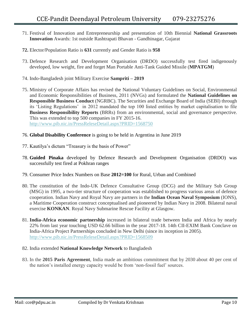- 71. Festival of Innovation and Entrepreneurship and presentation of 10th Biennial **National Grassroots Innovation** Awards: 1st outside Rashtrapati Bhavan - Gandhinagar, Gujarat
- **72.** Elector/Population Ratio is **631** currently and Gender Ratio is **958**
- 73. Defence Research and Development Organisation (DRDO) successfully test fired indigenously developed, low weight, fire and forget Man Portable Anti-Tank Guided Missile (**MPATGM**)
- 74. Indo-Bangladesh joint Military Exercise **Sampriti – 2019**
- 75. Ministry of Corporate Affairs has revised the National Voluntary Guidelines on Social, Environmental and Economic Responsibilities of Business, 2011 (NVGs) and formulated the **National Guidelines on Responsible Business Conduct** (NGRBC). The Securities and Exchange Board of India (SEBI) through its "Listing Regulations" in 2012 mandated the top 100 listed entities by market capitalisation to file **Business Responsibility Reports** (BRRs) from an environmental, social and governance perspective. This was extended to top 500 companies in FY 2015-16. <http://www.pib.nic.in/PressReleseDetail.aspx?PRID=1568750>
- 76. **Global Disability Conference** is going to be held in Argentina in June 2019
- 77. Kautilya"s dictum "Treasury is the basis of Power"
- 78. **Guided Pinaka** developed by Defence Research and Development Organisation (DRDO) was successfully test fired at Pokhran ranges
- 79. Consumer Price Index Numbers on Base **2012=100** for Rural, Urban and Combined
- 80. The constitution of the Indo-UK Defence Consultative Group (DCG) and the Military Sub Group (MSG) in 1995, a two-tier structure of cooperation was established to progress various areas of defence cooperation. Indian Navy and Royal Navy are partners in the **Indian Ocean Naval Symposium** (IONS), a Maritime Cooperation construct conceptualised and pioneered by Indian Navy in 2008. Bilateral naval exercise **KONKAN**. Royal Navy Submarine Rescue Facility at Glasgow.
- 81. **India-Africa economic partnership** increased in bilateral trade between India and Africa by nearly 22% from last year touching USD 62.66 billion in the year 2017-18. 14th CII-EXIM Bank Conclave on India-Africa Project Partnerships concluded in New Delhi (since its inception in 2005). <http://www.pib.nic.in/PressReleseDetail.aspx?PRID=1568509>
- 82. India extended **National Knowledge Network** to Bangladesh
- 83. In the **2015 Paris Agreement**, India made an ambitious commitment that by 2030 about 40 per cent of the nation"s installed energy capacity would be from "non-fossil fuel" sources.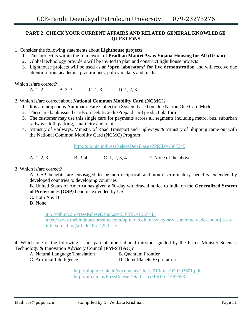# **PART 2: CHECK YOUR CURRENT AFFAIRS AND RELATED GENERAL KNOWLEDGE QUESTIONS**

1. Consider the following statements about **Lighthouse projects**

- 1. This project is within the framework of **Pradhan Mantri Awas Yojana-Housing for All (Urban)**
- 2. Global technology providers will be invited to plan and construct light house projects
- 3. Lighthouse projects will be used as an **"open laboratory" for live demonstration** and will receive due attention from academia, practitioners, policy makers and media

Which is/are correct?

A. 1, 2 B. 2, 3 C. 1, 3 D. 1, 2, 3

2. Which is/are correct about **National Common Mobility Card** (**NCMC**)?

- 1. It is an indigenous Automatic Fare Collection System based on One Nation One Card Model
- 2. These are bank issued cards on Debit/Credit/Prepaid card product platform.
- 3. The customer may use this single card for payments across all segments including metro, bus, suburban railways, toll, parking, smart city and retail
- 4. Ministry of Railways, Ministry of Road Transport and Highways & Ministry of Shipping came out with the National Common Mobility Card (NCMC) Program

<http://pib.nic.in/PressReleseDetail.aspx?PRID=1567345>

A. 1, 2, 3 B. 3, 4 C. 1, 2, 3, 4 D. None of the above

#### 3. Which is/are correct?

A. GSP benefits are envisaged to be non-reciprocal and non-discriminatory benefits extended by developed countries to developing countries

B. United States of America has given a 60-day withdrawal notice to India on the **Generalized System of Preferences (GSP)** benefits extended by US

- $C.$  Both A  $\&$  B
- D. None

<http://pib.nic.in/PressReleseDetail.aspx?PRID=1567445> [https://www.thehindubusinessline.com/opinion/columns/ajay-srivastav/much-ado-about-just-a](https://www.thehindubusinessline.com/opinion/columns/ajay-srivastav/much-ado-about-just-a-little-something/article26514253.ece)[little-something/article26514253.ece](https://www.thehindubusinessline.com/opinion/columns/ajay-srivastav/much-ado-about-just-a-little-something/article26514253.ece)

4. Which one of the following is not part of nine national missions guided by the Prime Minister Science, Technology & Innovation Advisory Council (**PM-STIAC**)?

- A. Natural Language Translation B. Quantum Frontier
- C. Artificial Intelligence D. Outer Planets Exploration

<http://pibphoto.nic.in/documents/rlink/2019/mar/p20193601.pdf> <http://pib.nic.in/PressReleseDetail.aspx?PRID=1567633>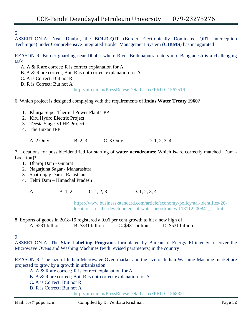5.

ASSERTION-A: Near Dhubri, the **BOLD-QIT** (Border Electronically Dominated QRT Interception Technique) under Comprehensive Integrated Border Management System (**CIBMS**) has inaugurated

REASON-R: Border guarding near Dhubri where River Brahmaputra enters into Bangladesh is a challenging task

A. A & R are correct; R is correct explanation for A

B. A & R are correct; But, R is not-correct explanation for A

C. A is Correct; But not R

D. R is Correct; But not A

<http://pib.nic.in/PressReleseDetail.aspx?PRID=1567516>

# 6. Which project is designed complying with the requirements of **Indus Water Treaty 1960**?

- 1. Khurja Super Thermal Power Plant TPP
- 2. Kiru Hydro Electric Project
- 3. Teesta Stage-Vl HE Project
- 4. The Buxar TPP

A. 2 Only B. 2, 3 C. 3 Only D. 1, 2, 3, 4

7. Locations for possible/identified for starting of **water aerodromes**: Which is/are correctly matched [Dam - Location]?

- 1. Dharoj Dam Gujarat
- 2. Nagarjuna Sagar Maharashtra
- 3. Shatrunjay Dam Rajasthan
- 4. Tehri Dam Himachal Pradesh

A. 1 B. 1, 2 C. 1, 2, 3 D. 1, 2, 3, 4

[https://www.business-standard.com/article/economy-policy/aai-identifies-20](https://www.business-standard.com/article/economy-policy/aai-identifies-20-locations-for-the-development-of-water-aerodromes-118112200841_1.html) [locations-for-the-development-of-water-aerodromes-118112200841\\_1.html](https://www.business-standard.com/article/economy-policy/aai-identifies-20-locations-for-the-development-of-water-aerodromes-118112200841_1.html)

8. Exports of goods in 2018-19 registered a 9.06 per cent growth to hit a new high of A. \$231 billion B. \$331 billion C. \$431 billion D. \$531 billion

9.

ASSERTION-A: The **Star Labelling Programs** formulated by Bureau of Energy Efficiency to cover the Microwave Ovens and Washing Machines (with revised parameters) in the country

REASON-R: The size of Indian Microwave Oven market and the size of Indian Washing Machine market are projected to grow by a growth in urbanization

A. A & R are correct; R is correct explanation for A

- B. A & R are correct; But, R is not-correct explanation for A
- C. A is Correct; But not R
- D. R is Correct; But not A

<http://pib.nic.in/PressReleseDetail.aspx?PRID=1568321>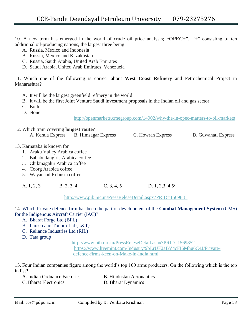10. A new term has emerged in the world of crude oil price analysis; **"OPEC+"**. "+" consisting of ten additional oil-producing nations, the largest three being:

- A. Russia, Mexico and Indonesia
- B. Russia, Mexico and Kazakhstan
- C. Russia, Saudi Arabia, United Arab Emirates
- D. Saudi Arabia, United Arab Emirates, Venezuela

11. Which one of the following is correct about **West Coast Refinery** and Petrochemical Project in Maharashtra?

- A. It will be the largest greenfield refinery in the world
- B. It will be the first Joint Venture Saudi investment proposals in the Indian oil and gas sector
- C. Both
- D. None

<http://openmarkets.cmegroup.com/14902/why-the-in-opec-matters-to-oil-markets>

- 12. Which train covering **longest route**?
	- A. Kerala Express B. Himsagar Express C. Howrah Express D. Guwahati Express
- 13. Karnataka is known for
	- 1. Araku Valley Arabica coffee
	- 2. Bababudangiris Arabica coffee
	- 3. Chikmagalur Arabica coffee
	- 4. Coorg Arabica coffee
	- 5. Wayanaad Robusta coffee

A. 1, 2, 3 B. 2, 3, 4 C. 3, 4, 5 D. 1, 2,3, 4,5\

<http://www.pib.nic.in/PressReleseDetail.aspx?PRID=1569831>

14. Which Private defence firm has been the part of development of the **Combat Management System** (CMS) for the Indigenous Aircraft Carrier (IAC)?

- A. Bharat Forge Ltd (BFL)
- B. Larsen and Toubro Ltd (L&T)
- C. Reliance Industries Ltd (RIL)
- D. Tata group

<http://www.pib.nic.in/PressReleseDetail.aspx?PRID=1569852> [https://www.livemint.com/Industry/9bLrUF2aBV4cFI6Mhu6C4J/Private](https://www.livemint.com/Industry/9bLrUF2aBV4cFI6Mhu6C4J/Private-defence-firms-keen-on-Make-in-India.html)[defence-firms-keen-on-Make-in-India.html](https://www.livemint.com/Industry/9bLrUF2aBV4cFI6Mhu6C4J/Private-defence-firms-keen-on-Make-in-India.html)

15. Four Indian companies figure among the world"s top 100 arms producers. On the following which is the top in list?

- A. Indian Ordnance Factories **B.** Hindustan Aeronautics
- C. Bharat Electronics D. Bharat Dynamics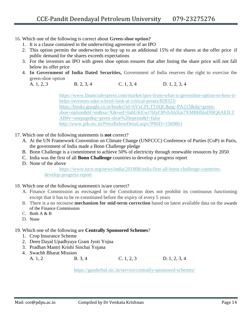16. Which one of the following is correct about **Green-shoe option?**

- 1. It is a clause contained in the underwriting agreement of an IPO
- 2. This option permits the underwriters to buy up to an additional 15% of the shares at the offer price if public demand for the shares exceeds expectations
- 3. For the investors an IPO with green shoe option ensures that after listing the share price will not fall below its offer price
- 4. **In Government of India Dated Securities,** Government of India reserves the right to exercise the green-shoe option

A. 1, 2, 3 B. 2, 3, 4 C. 1, 3, 4 D. 1, 2, 3, 4

[https://www.financialexpress.com/market/ipos-from-what-is-greenshoe-option-to-how-it](https://www.financialexpress.com/market/ipos-from-what-is-greenshoe-option-to-how-it-helps-investors-take-a-brief-look-at-critical-points/828323/)[helps-investors-take-a-brief-look-at-critical-points/828323/](https://www.financialexpress.com/market/ipos-from-what-is-greenshoe-option-to-how-it-helps-investors-take-a-brief-look-at-critical-points/828323/) [https://books.google.co.in/books?id=6VyCPLTTilQC&pg=PA215&dq=green](https://books.google.co.in/books?id=6VyCPLTTilQC&pg=PA215&dq=green-shoe+option&hl=en&sa=X&ved=0ahUKEwi76Iyf3PvhAhXm7XMBHblaD9IQ6AEILTAB#v=onepage&q=green-shoe%20option&f=false)[shoe+option&hl=en&sa=X&ved=0ahUKEwi76Iyf3PvhAhXm7XMBHblaD9IQ6AEILT](https://books.google.co.in/books?id=6VyCPLTTilQC&pg=PA215&dq=green-shoe+option&hl=en&sa=X&ved=0ahUKEwi76Iyf3PvhAhXm7XMBHblaD9IQ6AEILTAB#v=onepage&q=green-shoe%20option&f=false) [AB#v=onepage&q=green-shoe%20option&f=false](https://books.google.co.in/books?id=6VyCPLTTilQC&pg=PA215&dq=green-shoe+option&hl=en&sa=X&ved=0ahUKEwi76Iyf3PvhAhXm7XMBHblaD9IQ6AEILTAB#v=onepage&q=green-shoe%20option&f=false) <http://www.pib.nic.in/PressReleseDetail.aspx?PRID=1569863>

- 17. Which one of the following statements is **not** correct?
	- A. At the UN Framework Convention on Climate Change (UNFCCC) Conference of Parties (CoP) in Paris, the government of India made a Bonn Challenge pledge
	- B. Bonn Challenge is a commitment to achieve 50% of electricity through renewable resources by 2050
	- C. India was the first of all **Bonn Challenge** countries to develop a progress report
	- D. None of the above

[https://www.iucn.org/news/india/201808/india-first-all-bonn-challenge-countries](https://www.iucn.org/news/india/201808/india-first-all-bonn-challenge-countries-develop-progress-report)[develop-progress-report](https://www.iucn.org/news/india/201808/india-first-all-bonn-challenge-countries-develop-progress-report)

- 18. Which one of the following statement/s is/are correct?
	- A. Finance Commission as envisaged in the Constitution does not prohibit its continuous functioning except that it has to be re-constituted before the expiry of every 5 years
	- B. There is a no recourse **mechanism for mid-term correction** based on latest available data on the awards of the Finance Commission
	- C. Both  $A & B$
	- D. None
- 19. Which one of the following are **Centrally Sponsored Schemes**?
	- 1. Crop Insurance Scheme
	- 2. Deen Dayal Upadhyaya Gram Jyoti Yojna
	- 3. Pradhan Mantri Krishi Sinchai Yojana
	- 4. Swachh Bharat Mission

A. 1, 2 B. 3, 4 C. 1, 2, 3 D. 1, 2, 3, 4

<https://ganderbal.nic.in/service/centrally-sponsored-schemes/>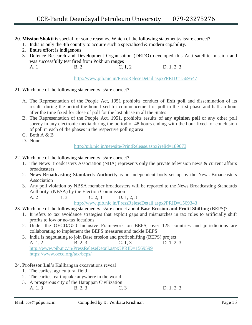- 20. **Mission Shakti** is special for some reason/s. Which of the following statement/s is/are correct?
	- 1. India is only the 4th country to acquire such a specialised & modern capability.
	- 2. Entire effort is indigenous
	- 3. Defence Research and Development Organisation (DRDO) developed this Anti-satellite mission and was successfully test fired from Pokhran ranges
		- A. 1 B. 2 C. 1, 2 D. 1, 2, 3

<http://www.pib.nic.in/PressReleseDetail.aspx?PRID=1569547>

## 21. Which one of the following statement/s is/are correct?

- A. The Representation of the People Act, 1951 prohibits conduct of **Exit poll** and dissemination of its results during the period the hour fixed for commencement of poll in the first phase and half an hour after the time fixed for close of poll for the last phase in all the States
- B. The Representation of the People Act, 1951, prohibits results of any **opinion poll** or any other poll survey in any electronic media during the period of 48 hours ending with the hour fixed for conclusion of poll in each of the phases in the respective polling area
- C. Both A & B
- D. None

<http://pib.nic.in/newsite/PrintRelease.aspx?relid=189673>

- 22. Which one of the following statement/s is/are correct?
	- 1. The News Broadcasters Association (NBA) represents only the private television news & current affairs broadcasters
	- 2. **News Broadcasting Standards Authority** is an independent body set up by the News Broadcasters Association
	- 3. Any poll violation by NBSA member broadcasters will be reported to the News Broadcasting Standards Authority (NBSA) by the Election Commission

A. 2 B. 3 C. 2, 3 D. 1, 2, 3

<http://www.pib.nic.in/PressReleseDetail.aspx?PRID=1569343>

# 23. Which one of the following statement/s is/are correct about **Base Erosion and Profit Shifting** (BEPS)?

- 1. It refers to tax avoidance strategies that exploit gaps and mismatches in tax rules to artificially shift profits to low or no-tax locations
- 2. Under the OECD/G20 Inclusive Framework on BEPS, over 125 countries and jurisdictions are collaborating to implement the BEPS measures and tackle BEPS
- 3. India is negotiating to join Base erosion and profit shifting (BEPS) project A. 1, 2 B. 2, 3 C. 1, 3 D. 1, 2, 3 <http://www.pib.nic.in/PressReleseDetail.aspx?PRID=1569599> <https://www.oecd.org/tax/beps/>

# 24. **Professor Lal**"s Kalibangan excavations reveal

- 1. The earliest agricultural field
- 2. The earliest earthquake anywhere in the world
- 3. A prosperous city of the Harappan Civilization
- A. 1, 3 B. 2, 3 C. 3 D. 1, 2, 3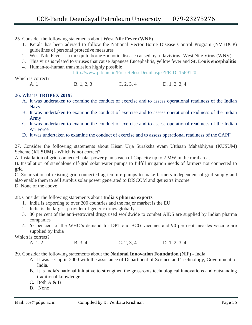- 25. Consider the following statements about **West Nile Fever (WNF)**
	- 1. Kerala has been advised to follow the National Vector Borne Disease Control Program (NVBDCP) guidelines of personal protective measures
	- 2. West Nile Fever is a mosquito borne zoonotic disease caused by a flavivirus -West Nile Virus (WNV)
	- 3. This virus is related to viruses that cause Japanese Encephalitis, yellow fever and **St. Louis encephalitis**
	- 4. Human-to-human transmission highly possible

<http://www.pib.nic.in/PressReleseDetail.aspx?PRID=1569120>

A. 1 B. 1, 2, 3 C. 2, 3, 4 D. 1, 2, 3, 4

# 26. What is **TROPEX 2019**?

Which is correct?

- A. It was undertaken to examine the conduct of exercise and to assess operational readiness of the Indian Navy
- B. It was undertaken to examine the conduct of exercise and to assess operational readiness of the Indian Army
- C. It was undertaken to examine the conduct of exercise and to assess operational readiness of the Indian Air Force
- D. It was undertaken to examine the conduct of exercise and to assess operational readiness of the CAPF

27. Consider the following statements about Kisan Urja Suraksha evam Utthaan Mahabhiyan (KUSUM) Scheme (**KUSUM)** - Which is **not** correct?

A. Installation of grid-connected solar power plants each of Capacity up to 2 MW in the rural areas

B. Installation of standalone off-grid solar water pumps to fulfill irrigation needs of farmers not connected to grid

C. Solarisation of existing grid-connected agriculture pumps to make farmers independent of grid supply and also enable them to sell surplus solar power generated to DISCOM and get extra income

D. None of the above

# 28. Consider the following statements about **India's pharma exports**

- 1. India is exporting to over 200 countries and the major market is the EU
- 2. India is the largest provider of generic drugs globally
- 3. 80 per cent of the anti-retroviral drugs used worldwide to combat AIDS are supplied by Indian pharma companies
- 4. 65 per cent of the WHO"s demand for DPT and BCG vaccines and 90 per cent measles vaccine are supplied by India

Which is correct?

A. 1, 2 B. 3, 4 C. 2, 3, 4 D. 1, 2, 3, 4

29. Consider the following statements about the **National Innovation Foundation** (NIF) - India

- A. It was set up in 2000 with the assistance of Department of Science and Technology, Government of India.
- B. It is India's national initiative to strengthen the grassroots technological innovations and outstanding traditional knowledge
- C. Both A & B
- D. None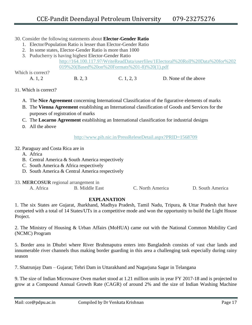## 30. Consider the following statements about **Elector-Gender Ratio**

- 1. Elector/Population Ratio is lesser than Elector-Gender Ratio
- 2. In some states, Elector-Gender Ratio is more than 1000
- 3. Puducherry is having highest Elector-Gender Ratio

[http://164.100.117.97/WriteReadData/userfiles/1Electoral%20Roll%20Data%20for%202](http://164.100.117.97/WriteReadData/userfiles/1Electoral%20Roll%20Data%20for%202019%20(Based%20on%20Formats%201-8)%20(1).pdf) [019%20\(Based%20on%20Formats%201-8\)%20\(1\).pdf](http://164.100.117.97/WriteReadData/userfiles/1Electoral%20Roll%20Data%20for%202019%20(Based%20on%20Formats%201-8)%20(1).pdf)

Which is correct?

A. 1, 2 B. 2, 3 C. 1, 2, 3 D. None of the above

## 31. Which is correct?

- A. The **Nice Agreement** concerning International Classification of the figurative elements of marks
- B. The **Vienna Agreement** establishing an International classification of Goods and Services for the purposes of registration of marks
- C. The **Locarno Agreement** establishing an International classification for industrial designs
- D. All the above

<http://www.pib.nic.in/PressReleseDetail.aspx?PRID=1568709>

#### 32. Paraguay and Costa Rica are in

- A. Africa
- B. Central America & South America respectively
- C. South America & Africa respectively
- D. South America & Central America respectively
- 33. **MERCOSUR** regional arrangement in<br>A. Africa<br>B. Middle Fa
	- A. Africa B. Middle East C. North America D. South America

# **EXPLANATION**

1. The six States are Gujarat, Jharkhand, Madhya Pradesh, Tamil Nadu, Tripura, & Uttar Pradesh that have competed with a total of 14 States/UTs in a competitive mode and won the opportunity to build the Light House Project.

2. The Ministry of Housing & Urban Affairs (MoHUA) came out with the National Common Mobility Card (NCMC) Program

5. Border area in Dhubri where River Brahmaputra enters into Bangladesh consists of vast char lands and innumerable river channels thus making border guarding in this area a challenging task especially during rainy season

7. Shatrunjay Dam – Gujarat; Tehri Dam in Uttarakhand and Nagarjuna Sagar in Telangana

9. The size of Indian Microwave Oven market stood at 1.21 million units in year FY 2017-18 and is projected to grow at a Compound Annual Growth Rate (CAGR) of around 2% and the size of Indian Washing Machine